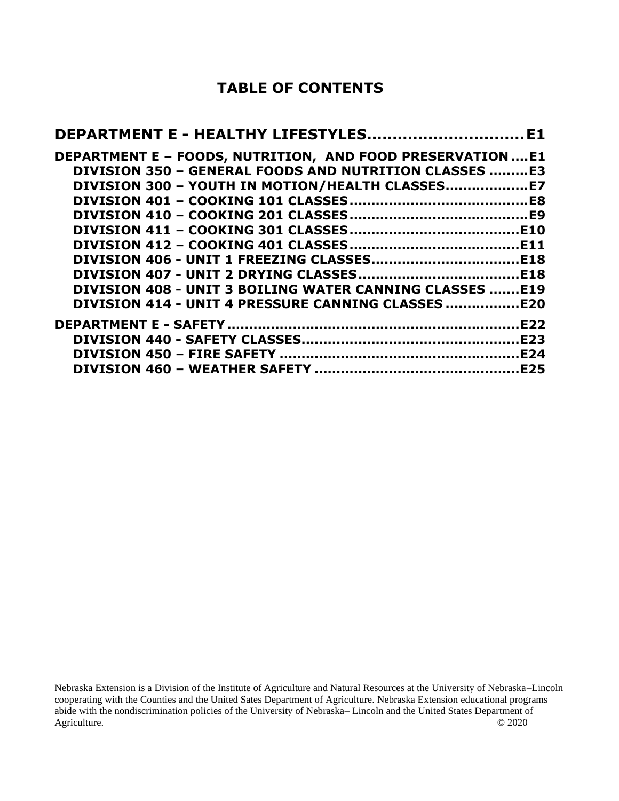## **TABLE OF CONTENTS**

| DEPARTMENT E - HEALTHY LIFESTYLESE1                             |  |
|-----------------------------------------------------------------|--|
| DEPARTMENT E - FOODS, NUTRITION, AND FOOD PRESERVATION  E1      |  |
| DIVISION 350 - GENERAL FOODS AND NUTRITION CLASSES E3           |  |
| DIVISION 300 - YOUTH IN MOTION/HEALTH CLASSES                   |  |
|                                                                 |  |
|                                                                 |  |
|                                                                 |  |
|                                                                 |  |
|                                                                 |  |
|                                                                 |  |
| <b>DIVISION 408 - UNIT 3 BOILING WATER CANNING CLASSES  E19</b> |  |
|                                                                 |  |
|                                                                 |  |
|                                                                 |  |
|                                                                 |  |
|                                                                 |  |

Nebraska Extension is a Division of the Institute of Agriculture and Natural Resources at the University of Nebraska–Lincoln cooperating with the Counties and the United Sates Department of Agriculture. Nebraska Extension educational programs abide with the nondiscrimination policies of the University of Nebraska– Lincoln and the United States Department of Agriculture. © 2020 Agriculture.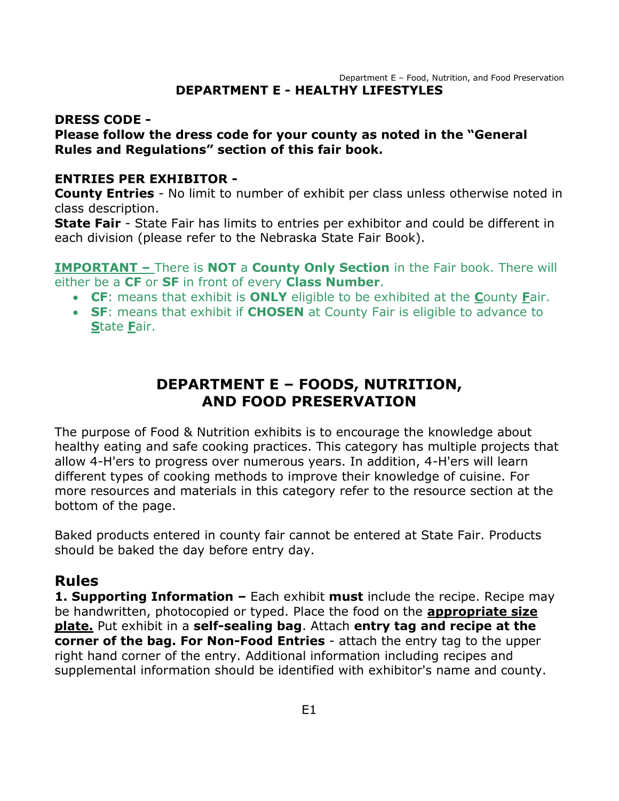#### <span id="page-1-0"></span>Department E – Food, Nutrition, and Food Preservation **DEPARTMENT E - HEALTHY LIFESTYLES**

#### **DRESS CODE -**

#### **Please follow the dress code for your county as noted in the "General Rules and Regulations" section of this fair book.**

#### **ENTRIES PER EXHIBITOR -**

**County Entries** - No limit to number of exhibit per class unless otherwise noted in class description.

**State Fair** - State Fair has limits to entries per exhibitor and could be different in each division (please refer to the Nebraska State Fair Book).

**IMPORTANT –** There is **NOT** a **County Only Section** in the Fair book. There will either be a **CF** or **SF** in front of every **Class Number**.

- **CF**: means that exhibit is **ONLY** eligible to be exhibited at the **C**ounty **F**air.
- <span id="page-1-1"></span>• **SF**: means that exhibit if **CHOSEN** at County Fair is eligible to advance to **S**tate **F**air.

## **DEPARTMENT E – FOODS, NUTRITION, AND FOOD PRESERVATION**

The purpose of Food & Nutrition exhibits is to encourage the knowledge about healthy eating and safe cooking practices. This category has multiple projects that allow 4-H'ers to progress over numerous years. In addition, 4-H'ers will learn different types of cooking methods to improve their knowledge of cuisine. For more resources and materials in this category refer to the resource section at the bottom of the page.

Baked products entered in county fair cannot be entered at State Fair. Products should be baked the day before entry day.

#### **Rules**

**1. Supporting Information –** Each exhibit **must** include the recipe. Recipe may be handwritten, photocopied or typed. Place the food on the **appropriate size plate.** Put exhibit in a **self-sealing bag**. Attach **entry tag and recipe at the corner of the bag. For Non-Food Entries** - attach the entry tag to the upper right hand corner of the entry. Additional information including recipes and supplemental information should be identified with exhibitor's name and county.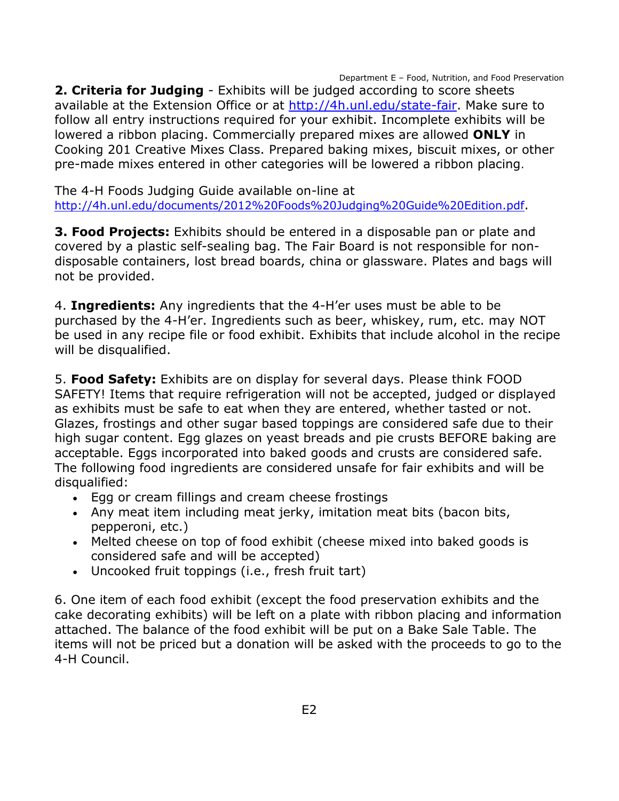Department E – Food, Nutrition, and Food Preservation

**2. Criteria for Judging** - Exhibits will be judged according to score sheets available at the Extension Office or at [http://4h.unl.edu/state-fair.](http://4h.unl.edu/state-fair) Make sure to follow all entry instructions required for your exhibit. Incomplete exhibits will be lowered a ribbon placing. Commercially prepared mixes are allowed **ONLY** in Cooking 201 Creative Mixes Class. Prepared baking mixes, biscuit mixes, or other pre-made mixes entered in other categories will be lowered a ribbon placing.

The 4-H Foods Judging Guide available on-line at <http://4h.unl.edu/documents/2012%20Foods%20Judging%20Guide%20Edition.pdf>.

**3. Food Projects:** Exhibits should be entered in a disposable pan or plate and covered by a plastic self-sealing bag. The Fair Board is not responsible for nondisposable containers, lost bread boards, china or glassware. Plates and bags will not be provided.

4. **Ingredients:** Any ingredients that the 4-H'er uses must be able to be purchased by the 4-H'er. Ingredients such as beer, whiskey, rum, etc. may NOT be used in any recipe file or food exhibit. Exhibits that include alcohol in the recipe will be disqualified.

5. **Food Safety:** Exhibits are on display for several days. Please think FOOD SAFETY! Items that require refrigeration will not be accepted, judged or displayed as exhibits must be safe to eat when they are entered, whether tasted or not. Glazes, frostings and other sugar based toppings are considered safe due to their high sugar content. Egg glazes on yeast breads and pie crusts BEFORE baking are acceptable. Eggs incorporated into baked goods and crusts are considered safe. The following food ingredients are considered unsafe for fair exhibits and will be disqualified:

- Egg or cream fillings and cream cheese frostings
- Any meat item including meat jerky, imitation meat bits (bacon bits, pepperoni, etc.)
- Melted cheese on top of food exhibit (cheese mixed into baked goods is considered safe and will be accepted)
- Uncooked fruit toppings (i.e., fresh fruit tart)

6. One item of each food exhibit (except the food preservation exhibits and the cake decorating exhibits) will be left on a plate with ribbon placing and information attached. The balance of the food exhibit will be put on a Bake Sale Table. The items will not be priced but a donation will be asked with the proceeds to go to the 4-H Council.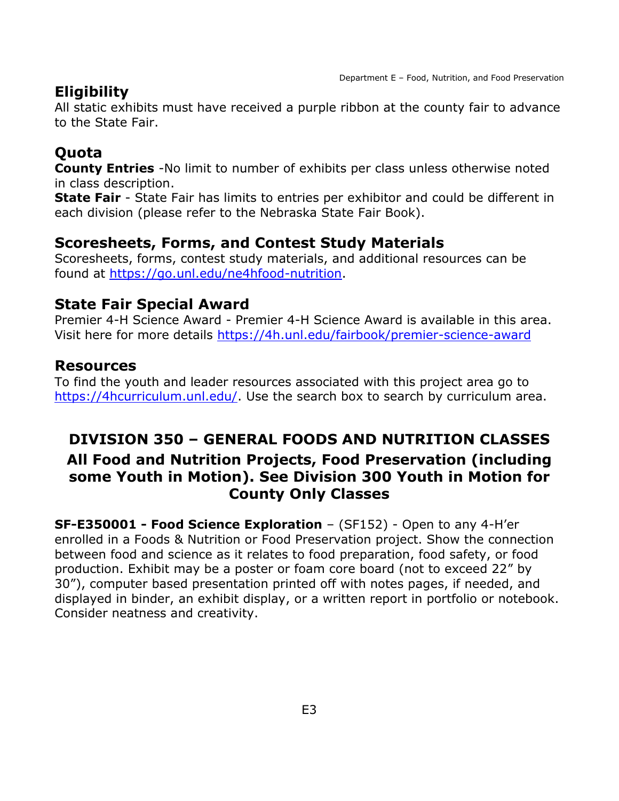## **Eligibility**

All static exhibits must have received a purple ribbon at the county fair to advance to the State Fair.

## **Quota**

**County Entries** -No limit to number of exhibits per class unless otherwise noted in class description.

**State Fair** - State Fair has limits to entries per exhibitor and could be different in each division (please refer to the Nebraska State Fair Book).

## **Scoresheets, Forms, and Contest Study Materials**

Scoresheets, forms, contest study materials, and additional resources can be found at [https://go.unl.edu/ne4hfood-nutrition.](https://go.unl.edu/ne4hfood-nutrition)

### **State Fair Special Award**

Premier 4-H Science Award - Premier 4-H Science Award is available in this area. Visit here for more details<https://4h.unl.edu/fairbook/premier-science-award>

### **Resources**

To find the youth and leader resources associated with this project area go to [https://4hcurriculum.unl.edu/.](https://4hcurriculum.unl.edu/) Use the search box to search by curriculum area.

## <span id="page-3-0"></span>**DIVISION 350 – GENERAL FOODS AND NUTRITION CLASSES All Food and Nutrition Projects, Food Preservation (including some Youth in Motion). See Division 300 Youth in Motion for County Only Classes**

**SF-E350001 - Food Science Exploration** – (SF152) - Open to any 4-H'er enrolled in a Foods & Nutrition or Food Preservation project. Show the connection between food and science as it relates to food preparation, food safety, or food production. Exhibit may be a poster or foam core board (not to exceed 22" by 30"), computer based presentation printed off with notes pages, if needed, and displayed in binder, an exhibit display, or a written report in portfolio or notebook. Consider neatness and creativity.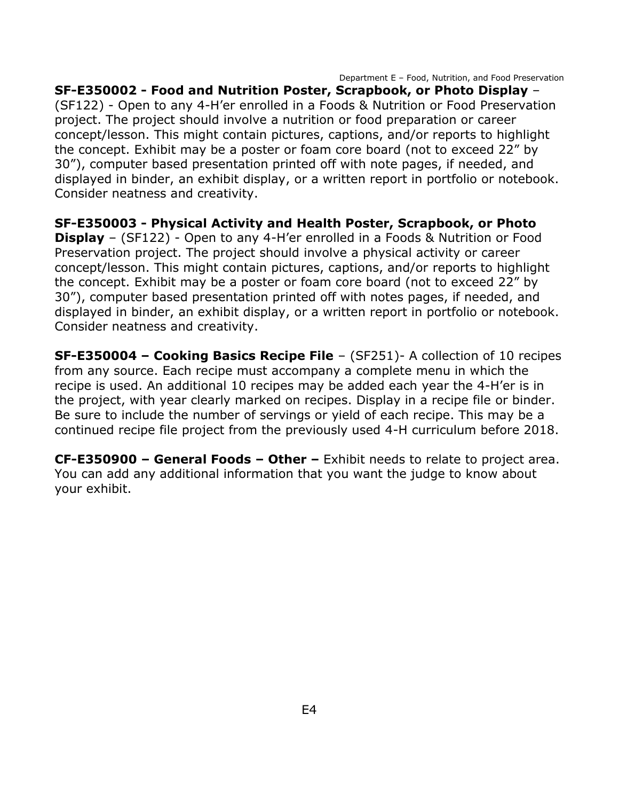Department E – Food, Nutrition, and Food Preservation

**SF-E350002 - Food and Nutrition Poster, Scrapbook, or Photo Display** – (SF122) - Open to any 4-H'er enrolled in a Foods & Nutrition or Food Preservation project. The project should involve a nutrition or food preparation or career concept/lesson. This might contain pictures, captions, and/or reports to highlight the concept. Exhibit may be a poster or foam core board (not to exceed 22" by 30"), computer based presentation printed off with note pages, if needed, and displayed in binder, an exhibit display, or a written report in portfolio or notebook. Consider neatness and creativity.

**SF-E350003 - Physical Activity and Health Poster, Scrapbook, or Photo Display** – (SF122) - Open to any 4-H'er enrolled in a Foods & Nutrition or Food Preservation project. The project should involve a physical activity or career concept/lesson. This might contain pictures, captions, and/or reports to highlight the concept. Exhibit may be a poster or foam core board (not to exceed 22" by 30"), computer based presentation printed off with notes pages, if needed, and displayed in binder, an exhibit display, or a written report in portfolio or notebook. Consider neatness and creativity.

**SF-E350004 – Cooking Basics Recipe File** – (SF251)- A collection of 10 recipes from any source. Each recipe must accompany a complete menu in which the recipe is used. An additional 10 recipes may be added each year the 4-H'er is in the project, with year clearly marked on recipes. Display in a recipe file or binder. Be sure to include the number of servings or yield of each recipe. This may be a continued recipe file project from the previously used 4-H curriculum before 2018.

**CF-E350900 – General Foods – Other –** Exhibit needs to relate to project area. You can add any additional information that you want the judge to know about your exhibit.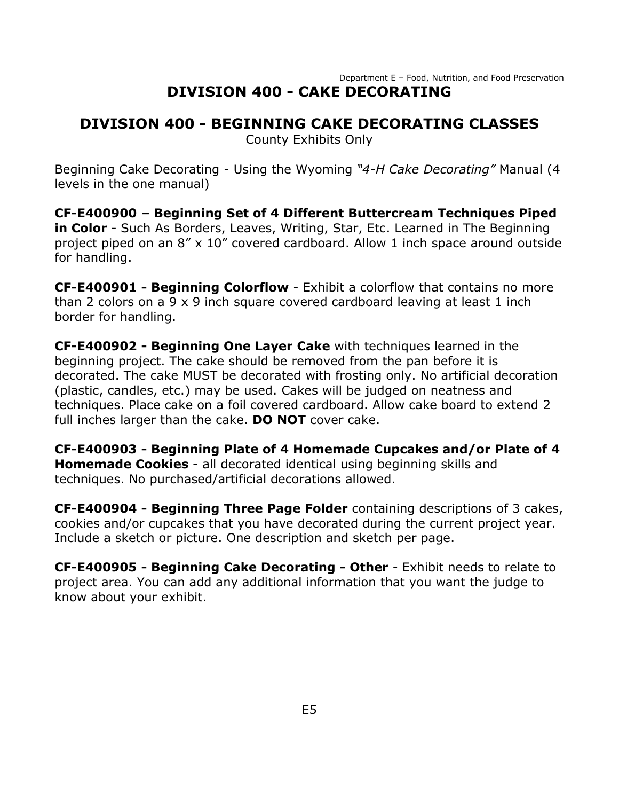## **DIVISION 400 - BEGINNING CAKE DECORATING CLASSES**

County Exhibits Only

Beginning Cake Decorating - Using the Wyoming *"4-H Cake Decorating"* Manual (4 levels in the one manual)

**CF-E400900 – Beginning Set of 4 Different Buttercream Techniques Piped in Color** - Such As Borders, Leaves, Writing, Star, Etc. Learned in The Beginning project piped on an 8" x 10" covered cardboard. Allow 1 inch space around outside for handling.

**CF-E400901 - Beginning Colorflow** - Exhibit a colorflow that contains no more than 2 colors on a 9 x 9 inch square covered cardboard leaving at least 1 inch border for handling.

**CF-E400902 - Beginning One Layer Cake** with techniques learned in the beginning project. The cake should be removed from the pan before it is decorated. The cake MUST be decorated with frosting only. No artificial decoration (plastic, candles, etc.) may be used. Cakes will be judged on neatness and techniques. Place cake on a foil covered cardboard. Allow cake board to extend 2 full inches larger than the cake. **DO NOT** cover cake.

**CF-E400903 - Beginning Plate of 4 Homemade Cupcakes and/or Plate of 4 Homemade Cookies** - all decorated identical using beginning skills and techniques. No purchased/artificial decorations allowed.

**CF-E400904 - Beginning Three Page Folder** containing descriptions of 3 cakes, cookies and/or cupcakes that you have decorated during the current project year. Include a sketch or picture. One description and sketch per page.

**CF-E400905 - Beginning Cake Decorating - Other** - Exhibit needs to relate to project area. You can add any additional information that you want the judge to know about your exhibit.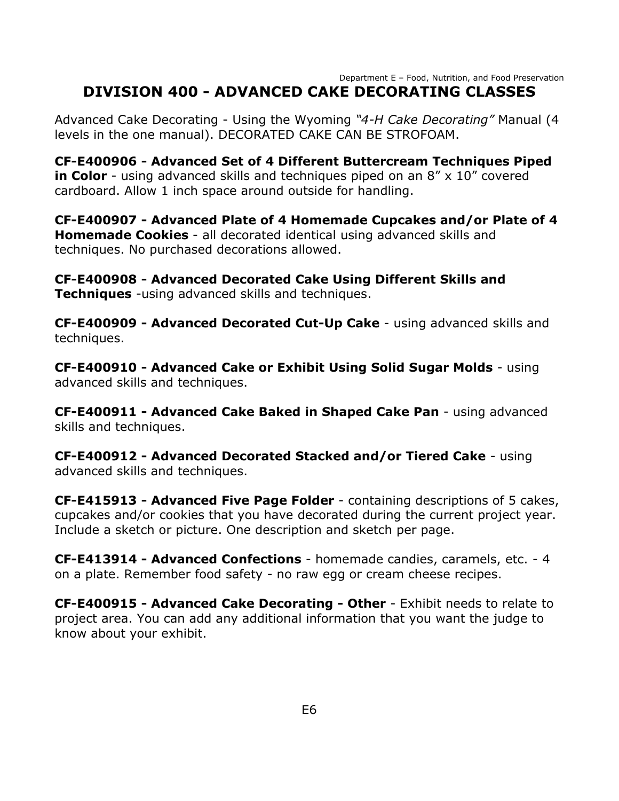#### Department E – Food, Nutrition, and Food Preservation **DIVISION 400 - ADVANCED CAKE DECORATING CLASSES**

Advanced Cake Decorating - Using the Wyoming *"4-H Cake Decorating"* Manual (4 levels in the one manual). DECORATED CAKE CAN BE STROFOAM.

**CF-E400906 - Advanced Set of 4 Different Buttercream Techniques Piped in Color** - using advanced skills and techniques piped on an 8" x 10" covered cardboard. Allow 1 inch space around outside for handling.

**CF-E400907 - Advanced Plate of 4 Homemade Cupcakes and/or Plate of 4 Homemade Cookies** - all decorated identical using advanced skills and techniques. No purchased decorations allowed.

**CF-E400908 - Advanced Decorated Cake Using Different Skills and Techniques** -using advanced skills and techniques.

**CF-E400909 - Advanced Decorated Cut-Up Cake** - using advanced skills and techniques.

**CF-E400910 - Advanced Cake or Exhibit Using Solid Sugar Molds** - using advanced skills and techniques.

**CF-E400911 - Advanced Cake Baked in Shaped Cake Pan** - using advanced skills and techniques.

**CF-E400912 - Advanced Decorated Stacked and/or Tiered Cake** - using advanced skills and techniques.

**CF-E415913 - Advanced Five Page Folder** - containing descriptions of 5 cakes, cupcakes and/or cookies that you have decorated during the current project year. Include a sketch or picture. One description and sketch per page.

**CF-E413914 - Advanced Confections** - homemade candies, caramels, etc. - 4 on a plate. Remember food safety - no raw egg or cream cheese recipes.

**CF-E400915 - Advanced Cake Decorating - Other** - Exhibit needs to relate to project area. You can add any additional information that you want the judge to know about your exhibit.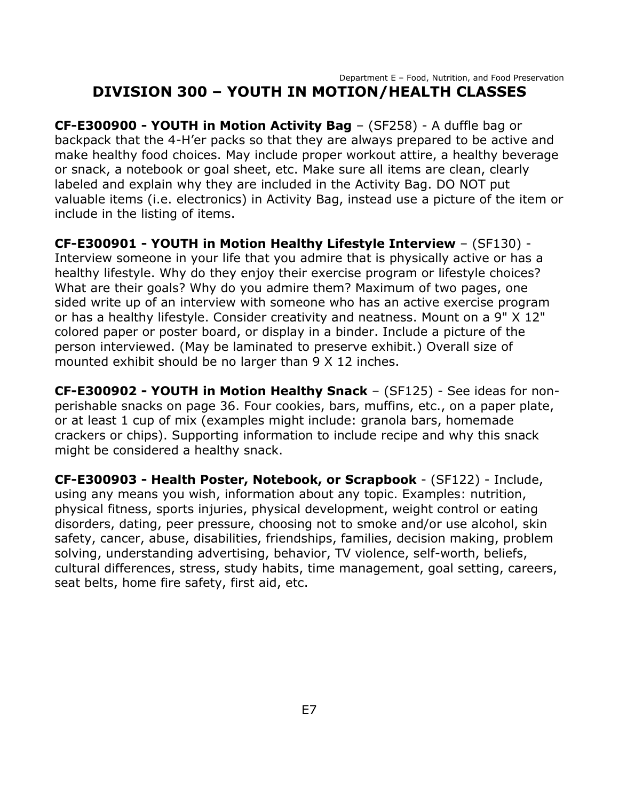#### Department E – Food, Nutrition, and Food Preservation **DIVISION 300 – YOUTH IN MOTION/HEALTH CLASSES**

<span id="page-7-0"></span>**CF-E300900 - YOUTH in Motion Activity Bag** – (SF258) - A duffle bag or backpack that the 4-H'er packs so that they are always prepared to be active and make healthy food choices. May include proper workout attire, a healthy beverage or snack, a notebook or goal sheet, etc. Make sure all items are clean, clearly labeled and explain why they are included in the Activity Bag. DO NOT put valuable items (i.e. electronics) in Activity Bag, instead use a picture of the item or include in the listing of items.

**CF-E300901 - YOUTH in Motion Healthy Lifestyle Interview** – (SF130) - Interview someone in your life that you admire that is physically active or has a healthy lifestyle. Why do they enjoy their exercise program or lifestyle choices? What are their goals? Why do you admire them? Maximum of two pages, one sided write up of an interview with someone who has an active exercise program or has a healthy lifestyle. Consider creativity and neatness. Mount on a 9" X 12" colored paper or poster board, or display in a binder. Include a picture of the person interviewed. (May be laminated to preserve exhibit.) Overall size of mounted exhibit should be no larger than 9 X 12 inches.

**CF-E300902 - YOUTH in Motion Healthy Snack** – (SF125) - See ideas for nonperishable snacks on page 36. Four cookies, bars, muffins, etc., on a paper plate, or at least 1 cup of mix (examples might include: granola bars, homemade crackers or chips). Supporting information to include recipe and why this snack might be considered a healthy snack.

**CF-E300903 - Health Poster, Notebook, or Scrapbook** - (SF122) - Include, using any means you wish, information about any topic. Examples: nutrition, physical fitness, sports injuries, physical development, weight control or eating disorders, dating, peer pressure, choosing not to smoke and/or use alcohol, skin safety, cancer, abuse, disabilities, friendships, families, decision making, problem solving, understanding advertising, behavior, TV violence, self-worth, beliefs, cultural differences, stress, study habits, time management, goal setting, careers, seat belts, home fire safety, first aid, etc.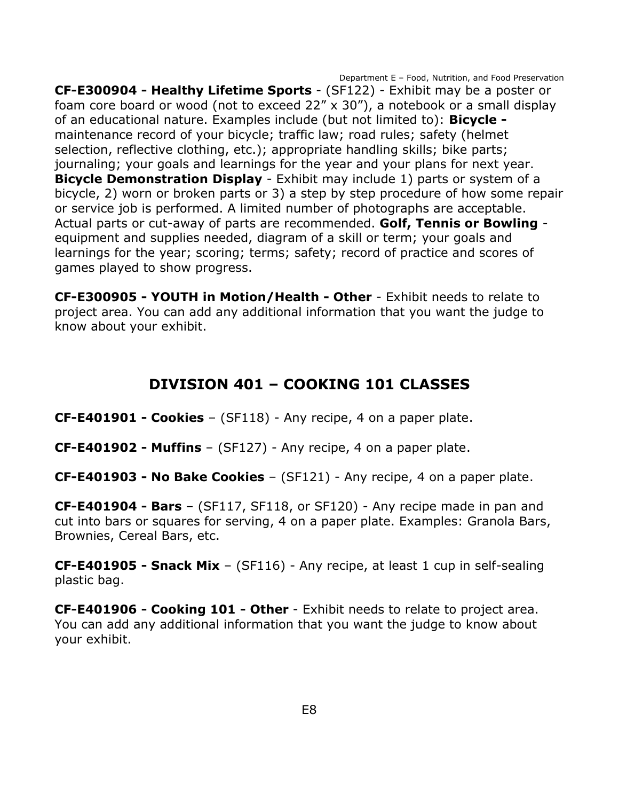Department E – Food, Nutrition, and Food Preservation **CF-E300904 - Healthy Lifetime Sports** - (SF122) - Exhibit may be a poster or foam core board or wood (not to exceed 22" x 30"), a notebook or a small display of an educational nature. Examples include (but not limited to): **Bicycle**  maintenance record of your bicycle; traffic law; road rules; safety (helmet selection, reflective clothing, etc.); appropriate handling skills; bike parts; journaling; your goals and learnings for the year and your plans for next year. **Bicycle Demonstration Display** - Exhibit may include 1) parts or system of a bicycle, 2) worn or broken parts or 3) a step by step procedure of how some repair or service job is performed. A limited number of photographs are acceptable. Actual parts or cut-away of parts are recommended. **Golf, Tennis or Bowling** equipment and supplies needed, diagram of a skill or term; your goals and learnings for the year; scoring; terms; safety; record of practice and scores of games played to show progress.

**CF-E300905 - YOUTH in Motion/Health - Other** - Exhibit needs to relate to project area. You can add any additional information that you want the judge to know about your exhibit.

## **DIVISION 401 – COOKING 101 CLASSES**

<span id="page-8-0"></span>**CF-E401901 - Cookies** – (SF118) - Any recipe, 4 on a paper plate.

**CF-E401902 - Muffins** – (SF127) - Any recipe, 4 on a paper plate.

**CF-E401903 - No Bake Cookies** – (SF121) - Any recipe, 4 on a paper plate.

**CF-E401904 - Bars** – (SF117, SF118, or SF120) - Any recipe made in pan and cut into bars or squares for serving, 4 on a paper plate. Examples: Granola Bars, Brownies, Cereal Bars, etc.

**CF-E401905 - Snack Mix** – (SF116) - Any recipe, at least 1 cup in self-sealing plastic bag.

**CF-E401906 - Cooking 101 - Other** - Exhibit needs to relate to project area. You can add any additional information that you want the judge to know about your exhibit.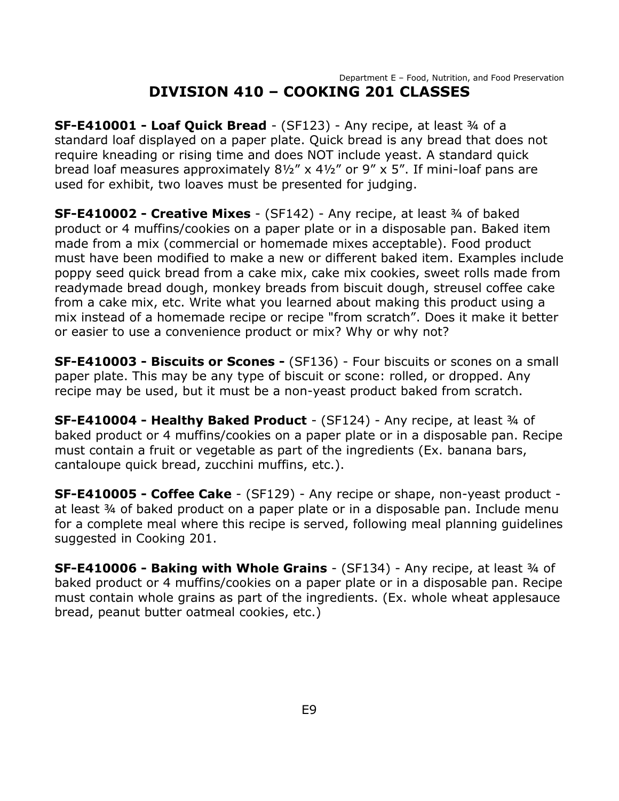#### Department E – Food, Nutrition, and Food Preservation **DIVISION 410 – COOKING 201 CLASSES**

<span id="page-9-0"></span>**SF-E410001 - Loaf Quick Bread** - (SF123) - Any recipe, at least ¾ of a standard loaf displayed on a paper plate. Quick bread is any bread that does not require kneading or rising time and does NOT include yeast. A standard quick bread loaf measures approximately 8½" x 4½" or 9" x 5". If mini-loaf pans are used for exhibit, two loaves must be presented for judging.

**SF-E410002 - Creative Mixes** - (SF142) - Any recipe, at least ¾ of baked product or 4 muffins/cookies on a paper plate or in a disposable pan. Baked item made from a mix (commercial or homemade mixes acceptable). Food product must have been modified to make a new or different baked item. Examples include poppy seed quick bread from a cake mix, cake mix cookies, sweet rolls made from readymade bread dough, monkey breads from biscuit dough, streusel coffee cake from a cake mix, etc. Write what you learned about making this product using a mix instead of a homemade recipe or recipe "from scratch". Does it make it better or easier to use a convenience product or mix? Why or why not?

**SF-E410003 - Biscuits or Scones -** (SF136) - Four biscuits or scones on a small paper plate. This may be any type of biscuit or scone: rolled, or dropped. Any recipe may be used, but it must be a non-yeast product baked from scratch.

**SF-E410004 - Healthy Baked Product** - (SF124) - Any recipe, at least ¾ of baked product or 4 muffins/cookies on a paper plate or in a disposable pan. Recipe must contain a fruit or vegetable as part of the ingredients (Ex. banana bars, cantaloupe quick bread, zucchini muffins, etc.).

**SF-E410005 - Coffee Cake** - (SF129) - Any recipe or shape, non-yeast product at least ¾ of baked product on a paper plate or in a disposable pan. Include menu for a complete meal where this recipe is served, following meal planning guidelines suggested in Cooking 201.

**SF-E410006 - Baking with Whole Grains** - (SF134) - Any recipe, at least ¾ of baked product or 4 muffins/cookies on a paper plate or in a disposable pan. Recipe must contain whole grains as part of the ingredients. (Ex. whole wheat applesauce bread, peanut butter oatmeal cookies, etc.)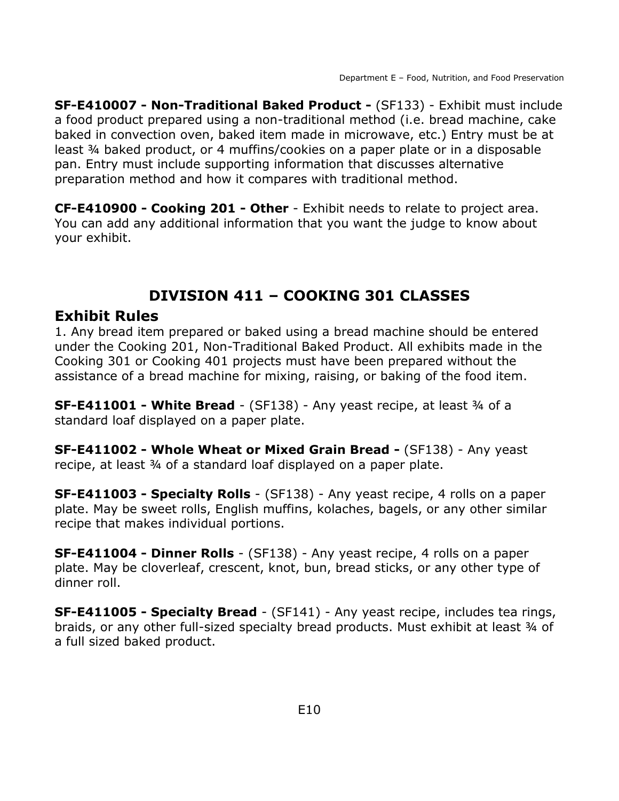**SF-E410007 - Non-Traditional Baked Product -** (SF133) - Exhibit must include a food product prepared using a non-traditional method (i.e. bread machine, cake baked in convection oven, baked item made in microwave, etc.) Entry must be at least ¾ baked product, or 4 muffins/cookies on a paper plate or in a disposable pan. Entry must include supporting information that discusses alternative preparation method and how it compares with traditional method.

**CF-E410900 - Cooking 201 - Other** - Exhibit needs to relate to project area. You can add any additional information that you want the judge to know about your exhibit.

# **DIVISION 411 – COOKING 301 CLASSES**

### <span id="page-10-0"></span>**Exhibit Rules**

1. Any bread item prepared or baked using a bread machine should be entered under the Cooking 201, Non-Traditional Baked Product. All exhibits made in the Cooking 301 or Cooking 401 projects must have been prepared without the assistance of a bread machine for mixing, raising, or baking of the food item.

**SF-E411001 - White Bread** - (SF138) - Any yeast recipe, at least ¾ of a standard loaf displayed on a paper plate.

**SF-E411002 - Whole Wheat or Mixed Grain Bread -** (SF138) - Any yeast recipe, at least 34 of a standard loaf displayed on a paper plate.

**SF-E411003 - Specialty Rolls** - (SF138) - Any yeast recipe, 4 rolls on a paper plate. May be sweet rolls, English muffins, kolaches, bagels, or any other similar recipe that makes individual portions.

**SF-E411004 - Dinner Rolls** - (SF138) - Any yeast recipe, 4 rolls on a paper plate. May be cloverleaf, crescent, knot, bun, bread sticks, or any other type of dinner roll.

**SF-E411005 - Specialty Bread** - (SF141) - Any yeast recipe, includes tea rings, braids, or any other full-sized specialty bread products. Must exhibit at least 34 of a full sized baked product.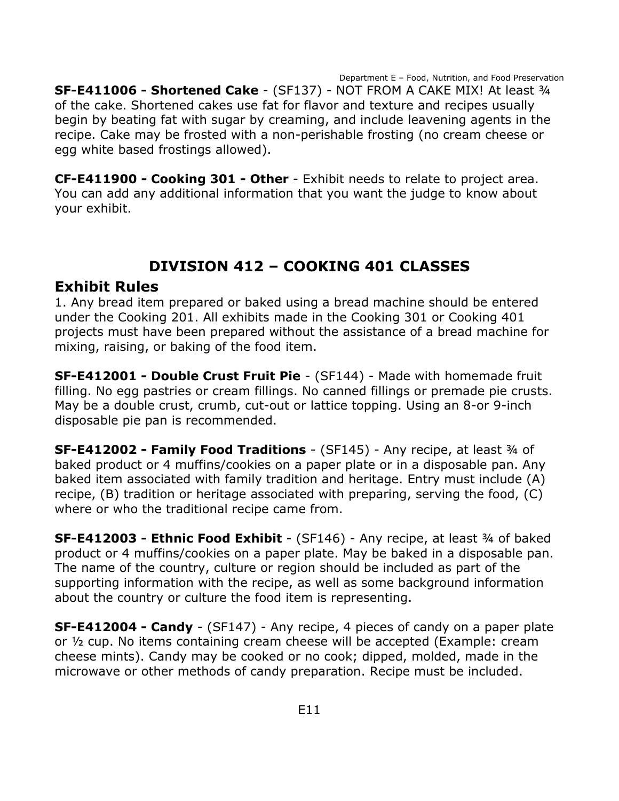Department E – Food, Nutrition, and Food Preservation **SF-E411006 - Shortened Cake** - (SF137) - NOT FROM A CAKE MIX! At least ¾ of the cake. Shortened cakes use fat for flavor and texture and recipes usually begin by beating fat with sugar by creaming, and include leavening agents in the recipe. Cake may be frosted with a non-perishable frosting (no cream cheese or egg white based frostings allowed).

**CF-E411900 - Cooking 301 - Other** - Exhibit needs to relate to project area. You can add any additional information that you want the judge to know about your exhibit.

## **DIVISION 412 – COOKING 401 CLASSES**

### <span id="page-11-0"></span>**Exhibit Rules**

1. Any bread item prepared or baked using a bread machine should be entered under the Cooking 201. All exhibits made in the Cooking 301 or Cooking 401 projects must have been prepared without the assistance of a bread machine for mixing, raising, or baking of the food item.

**SF-E412001 - Double Crust Fruit Pie** - (SF144) - Made with homemade fruit filling. No egg pastries or cream fillings. No canned fillings or premade pie crusts. May be a double crust, crumb, cut-out or lattice topping. Using an 8-or 9-inch disposable pie pan is recommended.

**SF-E412002 - Family Food Traditions** - (SF145) - Any recipe, at least ¾ of baked product or 4 muffins/cookies on a paper plate or in a disposable pan. Any baked item associated with family tradition and heritage. Entry must include (A) recipe, (B) tradition or heritage associated with preparing, serving the food, (C) where or who the traditional recipe came from.

**SF-E412003 - Ethnic Food Exhibit** - (SF146) - Any recipe, at least ¾ of baked product or 4 muffins/cookies on a paper plate. May be baked in a disposable pan. The name of the country, culture or region should be included as part of the supporting information with the recipe, as well as some background information about the country or culture the food item is representing.

**SF-E412004 - Candy** - (SF147) - Any recipe, 4 pieces of candy on a paper plate or ½ cup. No items containing cream cheese will be accepted (Example: cream cheese mints). Candy may be cooked or no cook; dipped, molded, made in the microwave or other methods of candy preparation. Recipe must be included.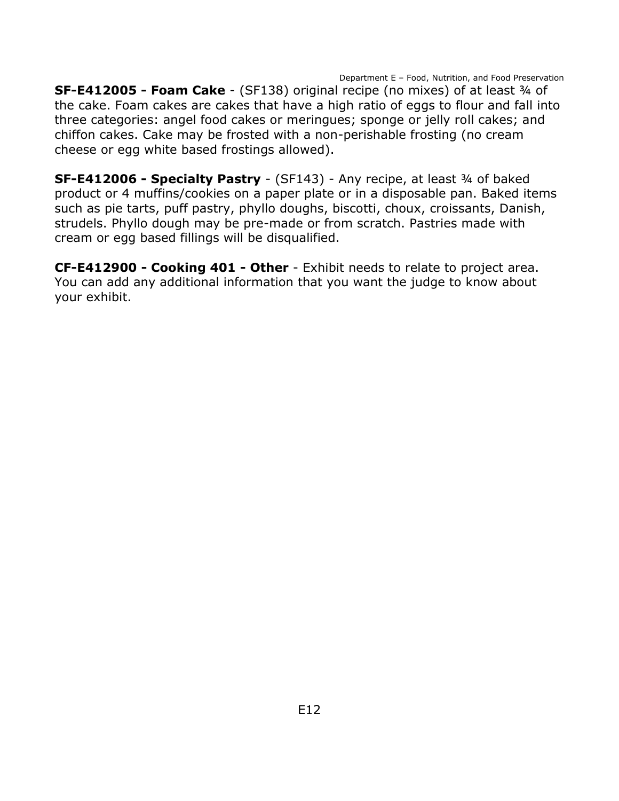Department E – Food, Nutrition, and Food Preservation **SF-E412005 - Foam Cake** - (SF138) original recipe (no mixes) of at least ¾ of the cake. Foam cakes are cakes that have a high ratio of eggs to flour and fall into three categories: angel food cakes or meringues; sponge or jelly roll cakes; and chiffon cakes. Cake may be frosted with a non-perishable frosting (no cream cheese or egg white based frostings allowed).

**SF-E412006 - Specialty Pastry** - (SF143) - Any recipe, at least ¾ of baked product or 4 muffins/cookies on a paper plate or in a disposable pan. Baked items such as pie tarts, puff pastry, phyllo doughs, biscotti, choux, croissants, Danish, strudels. Phyllo dough may be pre-made or from scratch. Pastries made with cream or egg based fillings will be disqualified.

**CF-E412900 - Cooking 401 - Other** - Exhibit needs to relate to project area. You can add any additional information that you want the judge to know about your exhibit.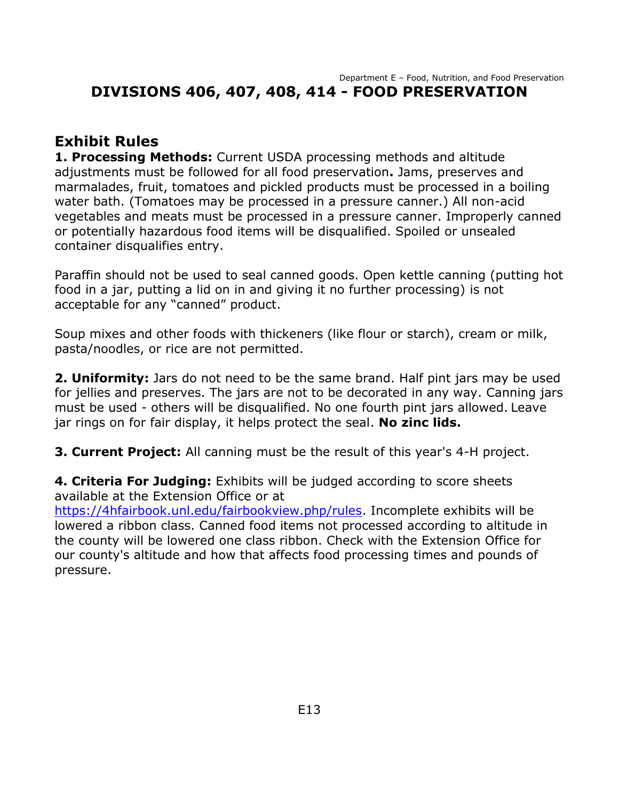#### Department E – Food, Nutrition, and Food Preservation **DIVISIONS 406, 407, 408, 414 - FOOD PRESERVATION**

### **Exhibit Rules**

**1. Processing Methods:** Current USDA processing methods and altitude adjustments must be followed for all food preservation**.** Jams, preserves and marmalades, fruit, tomatoes and pickled products must be processed in a boiling water bath. (Tomatoes may be processed in a pressure canner.) All non-acid vegetables and meats must be processed in a pressure canner. Improperly canned or potentially hazardous food items will be disqualified. Spoiled or unsealed container disqualifies entry.

Paraffin should not be used to seal canned goods. Open kettle canning (putting hot food in a jar, putting a lid on in and giving it no further processing) is not acceptable for any "canned" product.

Soup mixes and other foods with thickeners (like flour or starch), cream or milk, pasta/noodles, or rice are not permitted.

**2. Uniformity:** Jars do not need to be the same brand. Half pint jars may be used for jellies and preserves. The jars are not to be decorated in any way. Canning jars must be used - others will be disqualified. No one fourth pint jars allowed. Leave jar rings on for fair display, it helps protect the seal. **No zinc lids.**

**3. Current Project:** All canning must be the result of this year's 4-H project.

**4. Criteria For Judging:** Exhibits will be judged according to score sheets available at the Extension Office or at

[https://4hfairbook.unl.edu/fairbookview.php/rules.](https://4hfairbook.unl.edu/fairbookview.php/rules) Incomplete exhibits will be lowered a ribbon class. Canned food items not processed according to altitude in the county will be lowered one class ribbon. Check with the Extension Office for our county's altitude and how that affects food processing times and pounds of pressure.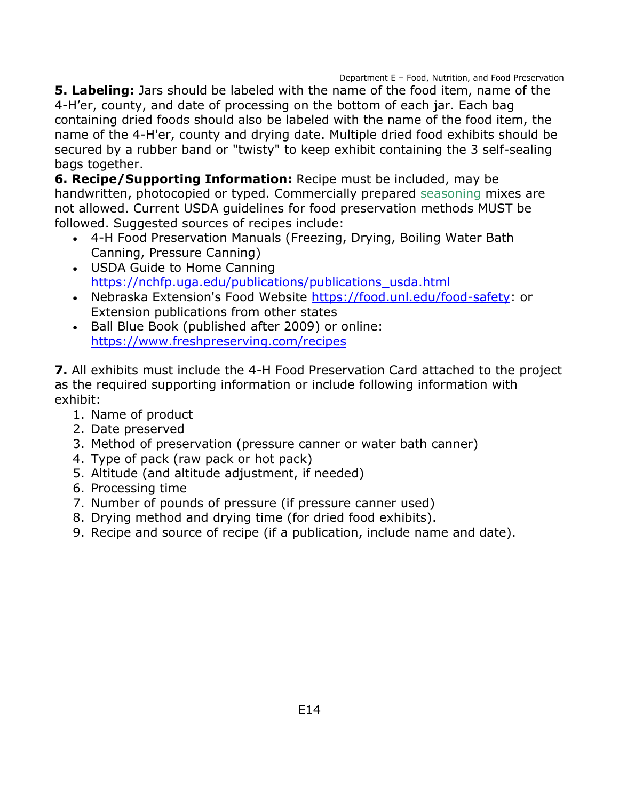Department E – Food, Nutrition, and Food Preservation

**5. Labeling:** Jars should be labeled with the name of the food item, name of the 4-H'er, county, and date of processing on the bottom of each jar. Each bag containing dried foods should also be labeled with the name of the food item, the name of the 4-H'er, county and drying date. Multiple dried food exhibits should be secured by a rubber band or "twisty" to keep exhibit containing the 3 self-sealing bags together.

**6. Recipe/Supporting Information:** Recipe must be included, may be handwritten, photocopied or typed. Commercially prepared seasoning mixes are not allowed. Current USDA guidelines for food preservation methods MUST be followed. Suggested sources of recipes include:

- 4-H Food Preservation Manuals (Freezing, Drying, Boiling Water Bath Canning, Pressure Canning)
- USDA Guide to Home Canning [https://nchfp.uga.edu/publications/publications\\_usda.html](https://nchfp.uga.edu/publications/publications_usda.html)
- Nebraska Extension's Food Website [https://food.unl.edu/food-safety:](https://food.unl.edu/food-safety) or Extension publications from other states
- Ball Blue Book (published after 2009) or online: <https://www.freshpreserving.com/recipes>

**7.** All exhibits must include the 4-H Food Preservation Card attached to the project as the required supporting information or include following information with exhibit:

- 1. Name of product
- 2. Date preserved
- 3. Method of preservation (pressure canner or water bath canner)
- 4. Type of pack (raw pack or hot pack)
- 5. Altitude (and altitude adjustment, if needed)
- 6. Processing time
- 7. Number of pounds of pressure (if pressure canner used)
- 8. Drying method and drying time (for dried food exhibits).
- 9. Recipe and source of recipe (if a publication, include name and date).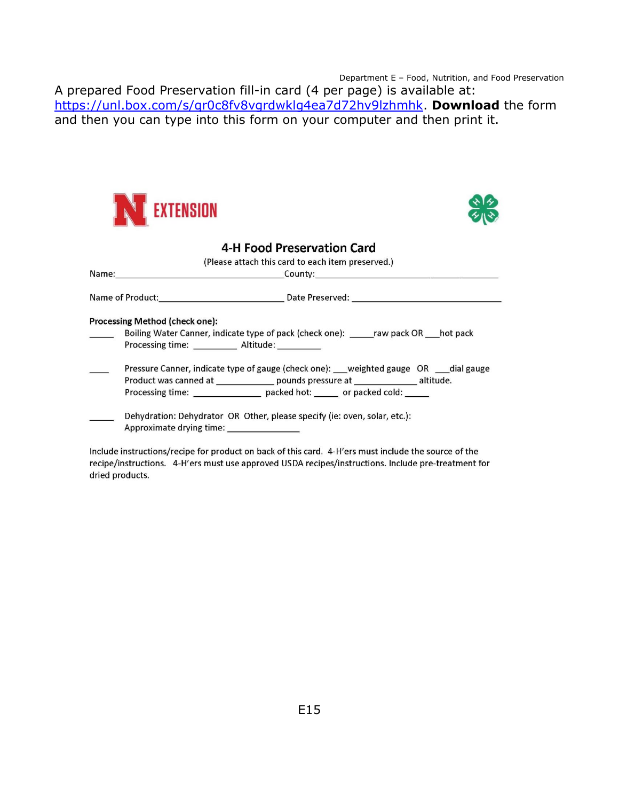Department E – Food, Nutrition, and Food Preservation

A prepared Food Preservation fill-in card (4 per page) is available at: [https://unl.box.com/s/qr0c8fv8vgrdwklg4ea7d72hv9lzhmhk.](https://unl.box.com/s/qr0c8fv8vgrdwklg4ea7d72hv9lzhmhk) **Download** the form and then you can type into this form on your computer and then print it.





|                                                   | <b>4-H Food Preservation Card</b>                                                                                     |  |
|---------------------------------------------------|-----------------------------------------------------------------------------------------------------------------------|--|
| (Please attach this card to each item preserved.) |                                                                                                                       |  |
|                                                   |                                                                                                                       |  |
|                                                   |                                                                                                                       |  |
|                                                   | Processing Method (check one):                                                                                        |  |
|                                                   | Boiling Water Canner, indicate type of pack (check one): ______raw pack OR ____hot pack                               |  |
|                                                   | Processing time: Altitude:                                                                                            |  |
|                                                   | Pressure Canner, indicate type of gauge (check one): __weighted gauge OR ___dial gauge                                |  |
|                                                   | Product was canned at _______________ pounds pressure at ________________ altitude.                                   |  |
|                                                   | Processing time: ____________________ packed hot: _______ or packed cold: ______                                      |  |
|                                                   |                                                                                                                       |  |
|                                                   | Dehydration: Dehydrator OR Other, please specify (ie: oven, solar, etc.):<br>Approximate drying time: _______________ |  |
|                                                   |                                                                                                                       |  |

Include instructions/recipe for product on back of this card. 4-H'ers must include the source of the recipe/instructions. 4-H'ers must use approved USDA recipes/instructions. Include pre-treatment for dried products.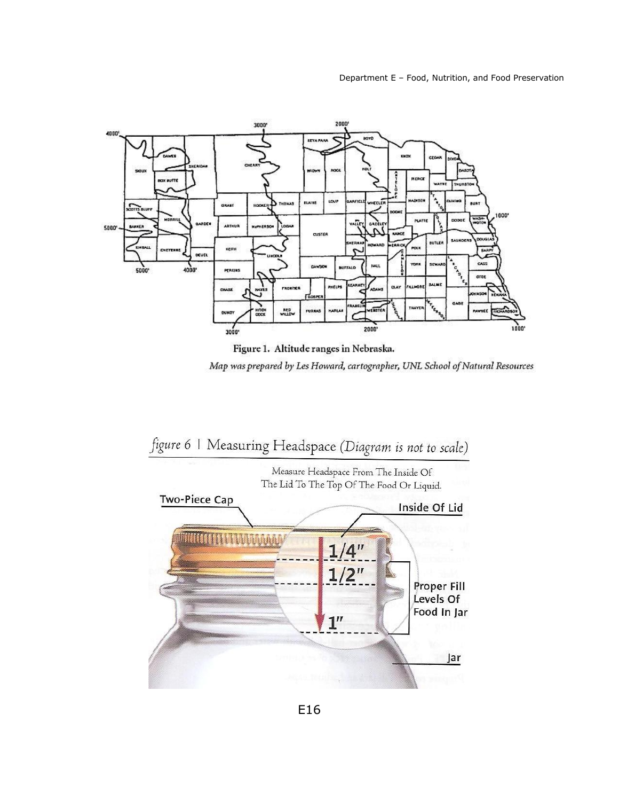

Figure 1. Altitude ranges in Nebraska.

Map was prepared by Les Howard, cartographer, UNL School of Natural Resources



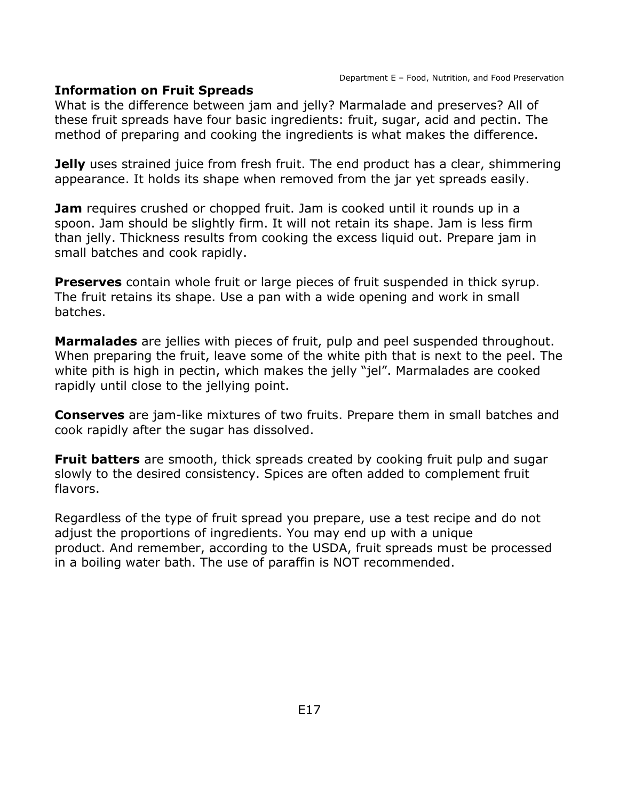#### **Information on Fruit Spreads**

What is the difference between jam and jelly? Marmalade and preserves? All of these fruit spreads have four basic ingredients: fruit, sugar, acid and pectin. The method of preparing and cooking the ingredients is what makes the difference.

**Jelly** uses strained juice from fresh fruit. The end product has a clear, shimmering appearance. It holds its shape when removed from the jar yet spreads easily.

**Jam** requires crushed or chopped fruit. Jam is cooked until it rounds up in a spoon. Jam should be slightly firm. It will not retain its shape. Jam is less firm than jelly. Thickness results from cooking the excess liquid out. Prepare jam in small batches and cook rapidly.

**Preserves** contain whole fruit or large pieces of fruit suspended in thick syrup. The fruit retains its shape. Use a pan with a wide opening and work in small batches.

**Marmalades** are jellies with pieces of fruit, pulp and peel suspended throughout. When preparing the fruit, leave some of the white pith that is next to the peel. The white pith is high in pectin, which makes the jelly "jel". Marmalades are cooked rapidly until close to the jellying point.

**Conserves** are jam-like mixtures of two fruits. Prepare them in small batches and cook rapidly after the sugar has dissolved.

**Fruit batters** are smooth, thick spreads created by cooking fruit pulp and sugar slowly to the desired consistency. Spices are often added to complement fruit flavors.

Regardless of the type of fruit spread you prepare, use a test recipe and do not adjust the proportions of ingredients. You may end up with a unique product. And remember, according to the USDA, fruit spreads must be processed in a boiling water bath. The use of paraffin is NOT recommended.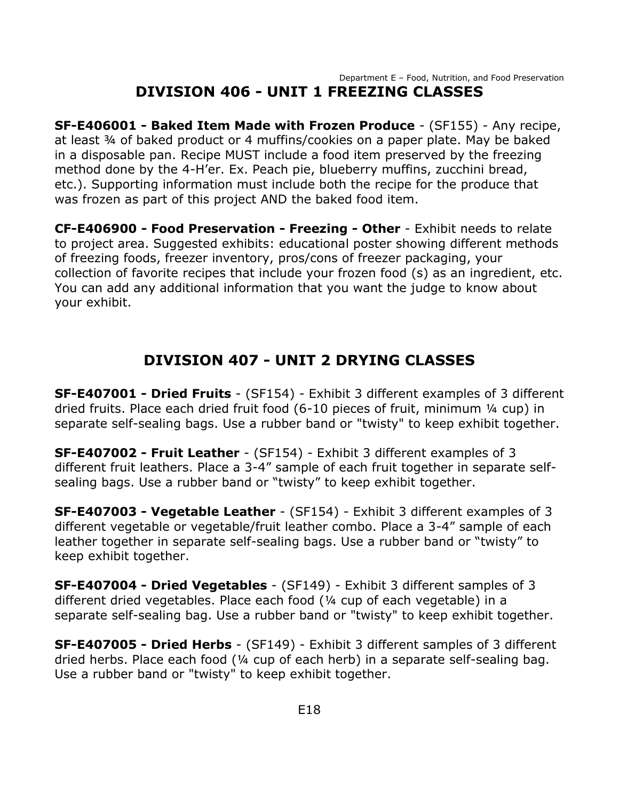#### Department E – Food, Nutrition, and Food Preservation **DIVISION 406 - UNIT 1 FREEZING CLASSES**

<span id="page-18-0"></span>**SF-E406001 - Baked Item Made with Frozen Produce** - (SF155) - Any recipe, at least ¾ of baked product or 4 muffins/cookies on a paper plate. May be baked in a disposable pan. Recipe MUST include a food item preserved by the freezing method done by the 4-H'er. Ex. Peach pie, blueberry muffins, zucchini bread, etc.). Supporting information must include both the recipe for the produce that was frozen as part of this project AND the baked food item.

**CF-E406900 - Food Preservation - Freezing - Other** - Exhibit needs to relate to project area. Suggested exhibits: educational poster showing different methods of freezing foods, freezer inventory, pros/cons of freezer packaging, your collection of favorite recipes that include your frozen food (s) as an ingredient, etc. You can add any additional information that you want the judge to know about your exhibit.

# **DIVISION 407 - UNIT 2 DRYING CLASSES**

<span id="page-18-1"></span>**SF-E407001 - Dried Fruits** - (SF154) - Exhibit 3 different examples of 3 different dried fruits. Place each dried fruit food (6-10 pieces of fruit, minimum ¼ cup) in separate self-sealing bags. Use a rubber band or "twisty" to keep exhibit together.

**SF-E407002 - Fruit Leather** - (SF154) - Exhibit 3 different examples of 3 different fruit leathers. Place a 3-4" sample of each fruit together in separate selfsealing bags. Use a rubber band or "twisty" to keep exhibit together.

**SF-E407003 - Vegetable Leather** - (SF154) - Exhibit 3 different examples of 3 different vegetable or vegetable/fruit leather combo. Place a 3-4" sample of each leather together in separate self-sealing bags. Use a rubber band or "twisty" to keep exhibit together.

**SF-E407004 - Dried Vegetables** - (SF149) - Exhibit 3 different samples of 3 different dried vegetables. Place each food (¼ cup of each vegetable) in a separate self-sealing bag. Use a rubber band or "twisty" to keep exhibit together.

**SF-E407005 - Dried Herbs** - (SF149) - Exhibit 3 different samples of 3 different dried herbs. Place each food (¼ cup of each herb) in a separate self-sealing bag. Use a rubber band or "twisty" to keep exhibit together.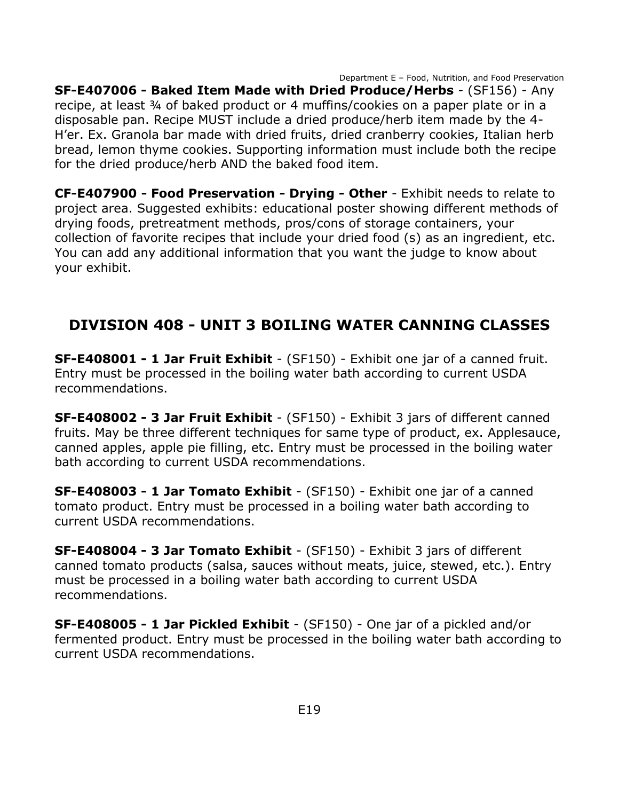Department E – Food, Nutrition, and Food Preservation **SF-E407006 - Baked Item Made with Dried Produce/Herbs** - (SF156) - Any recipe, at least ¾ of baked product or 4 muffins/cookies on a paper plate or in a disposable pan. Recipe MUST include a dried produce/herb item made by the 4- H'er. Ex. Granola bar made with dried fruits, dried cranberry cookies, Italian herb bread, lemon thyme cookies. Supporting information must include both the recipe for the dried produce/herb AND the baked food item.

**CF-E407900 - Food Preservation - Drying - Other** - Exhibit needs to relate to project area. Suggested exhibits: educational poster showing different methods of drying foods, pretreatment methods, pros/cons of storage containers, your collection of favorite recipes that include your dried food (s) as an ingredient, etc. You can add any additional information that you want the judge to know about your exhibit.

## <span id="page-19-0"></span>**DIVISION 408 - UNIT 3 BOILING WATER CANNING CLASSES**

**SF-E408001 - 1 Jar Fruit Exhibit** - (SF150) - Exhibit one jar of a canned fruit. Entry must be processed in the boiling water bath according to current USDA recommendations.

**SF-E408002 - 3 Jar Fruit Exhibit** - (SF150) - Exhibit 3 jars of different canned fruits. May be three different techniques for same type of product, ex. Applesauce, canned apples, apple pie filling, etc. Entry must be processed in the boiling water bath according to current USDA recommendations.

**SF-E408003 - 1 Jar Tomato Exhibit** - (SF150) - Exhibit one jar of a canned tomato product. Entry must be processed in a boiling water bath according to current USDA recommendations.

**SF-E408004 - 3 Jar Tomato Exhibit** - (SF150) - Exhibit 3 jars of different canned tomato products (salsa, sauces without meats, juice, stewed, etc.). Entry must be processed in a boiling water bath according to current USDA recommendations.

**SF-E408005 - 1 Jar Pickled Exhibit** - (SF150) - One jar of a pickled and/or fermented product. Entry must be processed in the boiling water bath according to current USDA recommendations.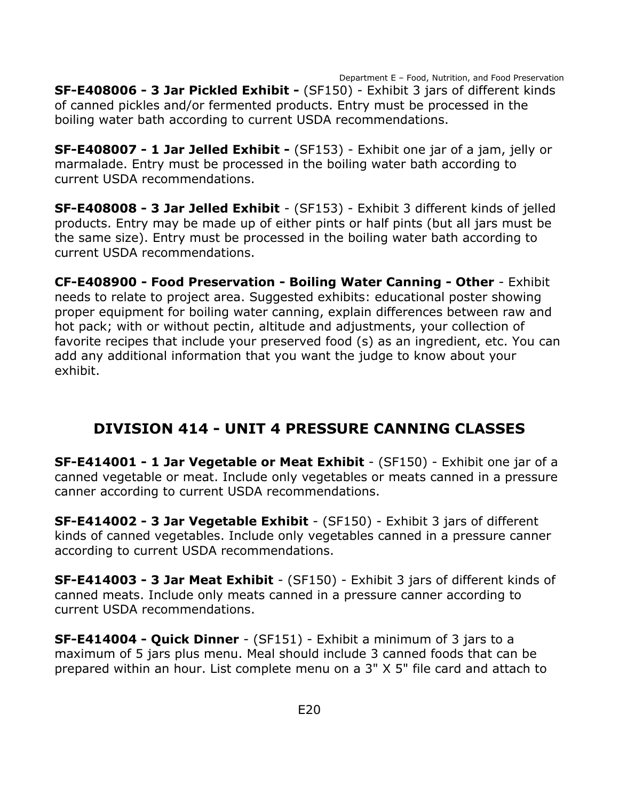Department E – Food, Nutrition, and Food Preservation **SF-E408006 - 3 Jar Pickled Exhibit -** (SF150) - Exhibit 3 jars of different kinds of canned pickles and/or fermented products. Entry must be processed in the boiling water bath according to current USDA recommendations.

**SF-E408007 - 1 Jar Jelled Exhibit -** (SF153) - Exhibit one jar of a jam, jelly or marmalade. Entry must be processed in the boiling water bath according to current USDA recommendations.

**SF-E408008 - 3 Jar Jelled Exhibit** - (SF153) - Exhibit 3 different kinds of jelled products. Entry may be made up of either pints or half pints (but all jars must be the same size). Entry must be processed in the boiling water bath according to current USDA recommendations.

**CF-E408900 - Food Preservation - Boiling Water Canning - Other** - Exhibit needs to relate to project area. Suggested exhibits: educational poster showing proper equipment for boiling water canning, explain differences between raw and hot pack; with or without pectin, altitude and adjustments, your collection of favorite recipes that include your preserved food (s) as an ingredient, etc. You can add any additional information that you want the judge to know about your exhibit.

# <span id="page-20-0"></span>**DIVISION 414 - UNIT 4 PRESSURE CANNING CLASSES**

**SF-E414001 - 1 Jar Vegetable or Meat Exhibit** - (SF150) - Exhibit one jar of a canned vegetable or meat. Include only vegetables or meats canned in a pressure canner according to current USDA recommendations.

**SF-E414002 - 3 Jar Vegetable Exhibit** - (SF150) - Exhibit 3 jars of different kinds of canned vegetables. Include only vegetables canned in a pressure canner according to current USDA recommendations.

**SF-E414003 - 3 Jar Meat Exhibit** - (SF150) - Exhibit 3 jars of different kinds of canned meats. Include only meats canned in a pressure canner according to current USDA recommendations.

**SF-E414004 - Quick Dinner** - (SF151) - Exhibit a minimum of 3 jars to a maximum of 5 jars plus menu. Meal should include 3 canned foods that can be prepared within an hour. List complete menu on a 3" X 5" file card and attach to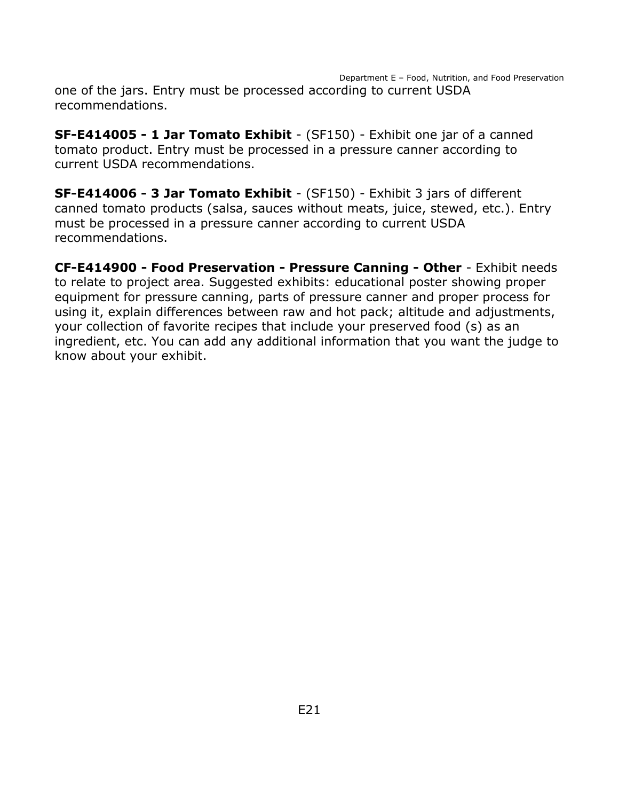Department E – Food, Nutrition, and Food Preservation one of the jars. Entry must be processed according to current USDA recommendations.

**SF-E414005 - 1 Jar Tomato Exhibit** - (SF150) - Exhibit one jar of a canned tomato product. Entry must be processed in a pressure canner according to current USDA recommendations.

**SF-E414006 - 3 Jar Tomato Exhibit** - (SF150) - Exhibit 3 jars of different canned tomato products (salsa, sauces without meats, juice, stewed, etc.). Entry must be processed in a pressure canner according to current USDA recommendations.

**CF-E414900 - Food Preservation - Pressure Canning - Other** - Exhibit needs to relate to project area. Suggested exhibits: educational poster showing proper equipment for pressure canning, parts of pressure canner and proper process for using it, explain differences between raw and hot pack; altitude and adjustments, your collection of favorite recipes that include your preserved food (s) as an ingredient, etc. You can add any additional information that you want the judge to know about your exhibit.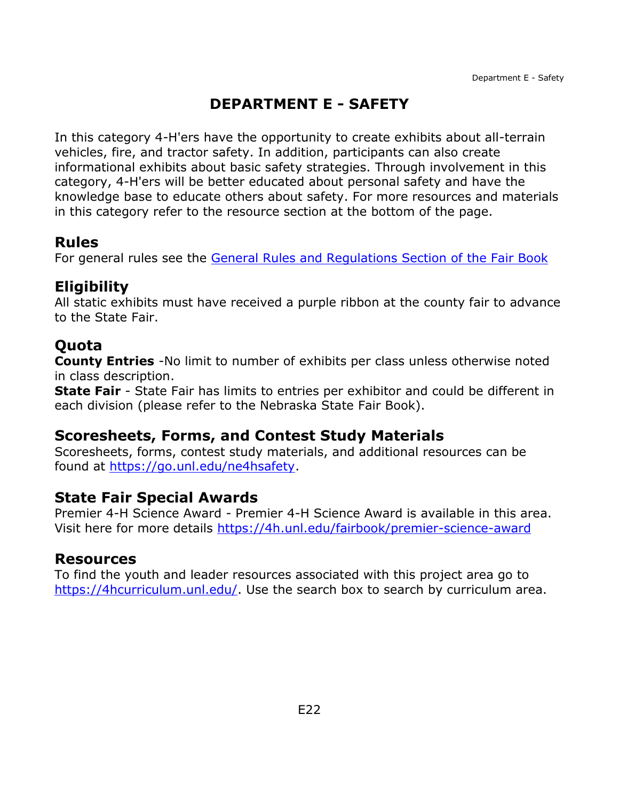## **DEPARTMENT E - SAFETY**

<span id="page-22-0"></span>In this category 4-H'ers have the opportunity to create exhibits about all-terrain vehicles, fire, and tractor safety. In addition, participants can also create informational exhibits about basic safety strategies. Through involvement in this category, 4-H'ers will be better educated about personal safety and have the knowledge base to educate others about safety. For more resources and materials in this category refer to the resource section at the bottom of the page.

### **Rules**

For general rules see the [General Rules and Regulations Section of the Fair Book](https://unl.box.com/s/e7w1cmzwit0us89x96k1h2gdrs51dsy2)

### **Eligibility**

All static exhibits must have received a purple ribbon at the county fair to advance to the State Fair.

## **Quota**

**County Entries** -No limit to number of exhibits per class unless otherwise noted in class description.

**State Fair** - State Fair has limits to entries per exhibitor and could be different in each division (please refer to the Nebraska State Fair Book).

### **Scoresheets, Forms, and Contest Study Materials**

Scoresheets, forms, contest study materials, and additional resources can be found at [https://go.unl.edu/ne4hsafety.](http://go.unl.edu/ne4hsafety)

### **State Fair Special Awards**

Premier 4-H Science Award - Premier 4-H Science Award is available in this area. Visit here for more details<https://4h.unl.edu/fairbook/premier-science-award>

### **Resources**

To find the youth and leader resources associated with this project area go to [https://4hcurriculum.unl.edu/.](https://4hcurriculum.unl.edu/) Use the search box to search by curriculum area.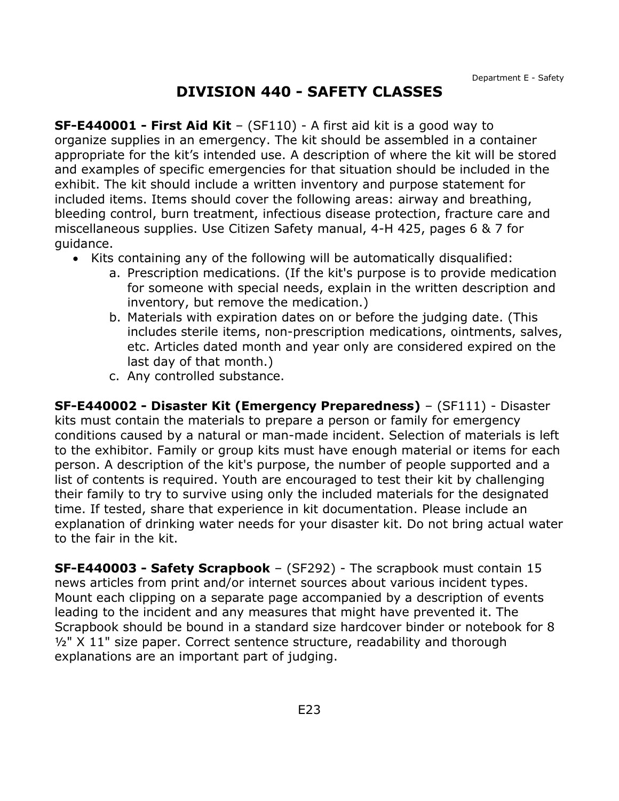### **DIVISION 440 - SAFETY CLASSES**

<span id="page-23-0"></span>**SF-E440001 - First Aid Kit** – (SF110) - A first aid kit is a good way to organize supplies in an emergency. The kit should be assembled in a container appropriate for the kit's intended use. A description of where the kit will be stored and examples of specific emergencies for that situation should be included in the exhibit. The kit should include a written inventory and purpose statement for included items. Items should cover the following areas: airway and breathing, bleeding control, burn treatment, infectious disease protection, fracture care and miscellaneous supplies. Use Citizen Safety manual, 4-H 425, pages 6 & 7 for guidance.

- Kits containing any of the following will be automatically disqualified:
	- a. Prescription medications. (If the kit's purpose is to provide medication for someone with special needs, explain in the written description and inventory, but remove the medication.)
	- b. Materials with expiration dates on or before the judging date. (This includes sterile items, non-prescription medications, ointments, salves, etc. Articles dated month and year only are considered expired on the last day of that month.)
	- c. Any controlled substance.

**SF-E440002 - Disaster Kit (Emergency Preparedness)** – (SF111) - Disaster kits must contain the materials to prepare a person or family for emergency conditions caused by a natural or man-made incident. Selection of materials is left to the exhibitor. Family or group kits must have enough material or items for each person. A description of the kit's purpose, the number of people supported and a list of contents is required. Youth are encouraged to test their kit by challenging their family to try to survive using only the included materials for the designated time. If tested, share that experience in kit documentation. Please include an explanation of drinking water needs for your disaster kit. Do not bring actual water to the fair in the kit.

**SF-E440003 - Safety Scrapbook** – (SF292) - The scrapbook must contain 15 news articles from print and/or internet sources about various incident types. Mount each clipping on a separate page accompanied by a description of events leading to the incident and any measures that might have prevented it. The Scrapbook should be bound in a standard size hardcover binder or notebook for 8 <sup>1/2"</sup> X 11" size paper. Correct sentence structure, readability and thorough explanations are an important part of judging.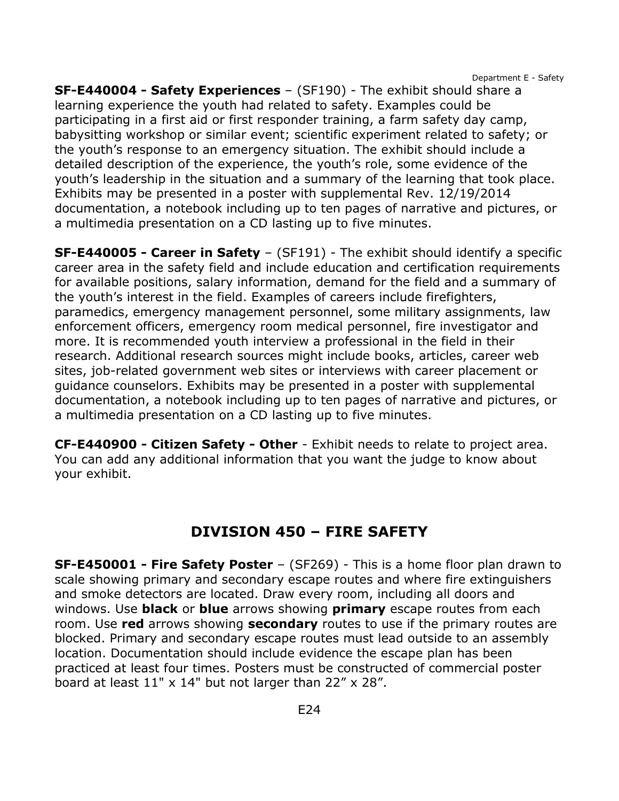Department E - Safety

**SF-E440004 - Safety Experiences** – (SF190) - The exhibit should share a learning experience the youth had related to safety. Examples could be participating in a first aid or first responder training, a farm safety day camp, babysitting workshop or similar event; scientific experiment related to safety; or the youth's response to an emergency situation. The exhibit should include a detailed description of the experience, the youth's role, some evidence of the youth's leadership in the situation and a summary of the learning that took place. Exhibits may be presented in a poster with supplemental Rev. 12/19/2014 documentation, a notebook including up to ten pages of narrative and pictures, or a multimedia presentation on a CD lasting up to five minutes.

**SF-E440005 - Career in Safety** – (SF191) - The exhibit should identify a specific career area in the safety field and include education and certification requirements for available positions, salary information, demand for the field and a summary of the youth's interest in the field. Examples of careers include firefighters, paramedics, emergency management personnel, some military assignments, law enforcement officers, emergency room medical personnel, fire investigator and more. It is recommended youth interview a professional in the field in their research. Additional research sources might include books, articles, career web sites, job-related government web sites or interviews with career placement or guidance counselors. Exhibits may be presented in a poster with supplemental documentation, a notebook including up to ten pages of narrative and pictures, or a multimedia presentation on a CD lasting up to five minutes.

**CF-E440900 - Citizen Safety - Other** - Exhibit needs to relate to project area. You can add any additional information that you want the judge to know about your exhibit.

### **DIVISION 450 – FIRE SAFETY**

<span id="page-24-0"></span>**SF-E450001 - Fire Safety Poster** – (SF269) - This is a home floor plan drawn to scale showing primary and secondary escape routes and where fire extinguishers and smoke detectors are located. Draw every room, including all doors and windows. Use **black** or **blue** arrows showing **primary** escape routes from each room. Use **red** arrows showing **secondary** routes to use if the primary routes are blocked. Primary and secondary escape routes must lead outside to an assembly location. Documentation should include evidence the escape plan has been practiced at least four times. Posters must be constructed of commercial poster board at least  $11" \times 14"$  but not larger than  $22" \times 28".$